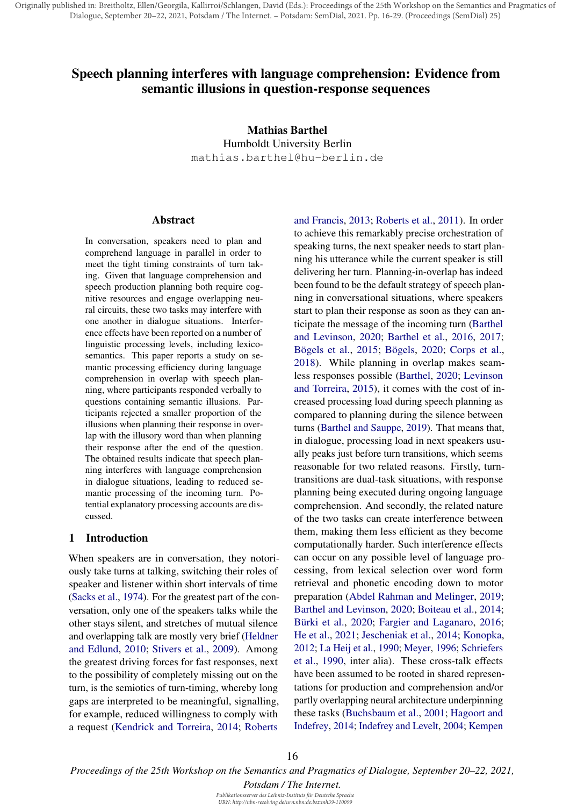Originally published in: Breitholtz, Ellen/Georgila, Kallirroi/Schlangen, David (Eds.): Proceedings of the 25th Workshop on the Semantics and Pragmatics of Dialogue, September 20–22, 2021, Potsdam / The Internet. – Potsdam: SemDial, 2021. Pp. 16-29. (Proceedings (SemDial) 25)

# Speech planning interferes with language comprehension: Evidence from semantic illusions in question-response sequences

Mathias Barthel Humboldt University Berlin mathias.barthel@hu-berlin.de

#### Abstract

In conversation, speakers need to plan and comprehend language in parallel in order to meet the tight timing constraints of turn taking. Given that language comprehension and speech production planning both require cognitive resources and engage overlapping neural circuits, these two tasks may interfere with one another in dialogue situations. Interference effects have been reported on a number of linguistic processing levels, including lexicosemantics. This paper reports a study on semantic processing efficiency during language comprehension in overlap with speech planning, where participants responded verbally to questions containing semantic illusions. Participants rejected a smaller proportion of the illusions when planning their response in overlap with the illusory word than when planning their response after the end of the question. The obtained results indicate that speech planning interferes with language comprehension in dialogue situations, leading to reduced semantic processing of the incoming turn. Potential explanatory processing accounts are discussed.

# 1 Introduction

When speakers are in conversation, they notoriously take turns at talking, switching their roles of speaker and listener within short intervals of time (Sacks et al., 1974). For the greatest part of the conversation, only one of the speakers talks while the other stays silent, and stretches of mutual silence and overlapping talk are mostly very brief (Heldner and Edlund, 2010; Stivers et al., 2009). Among the greatest driving forces for fast responses, next to the possibility of completely missing out on the turn, is the semiotics of turn-timing, whereby long gaps are interpreted to be meaningful, signalling, for example, reduced willingness to comply with a request (Kendrick and Torreira, 2014; Roberts

and Francis, 2013; Roberts et al., 2011). In order to achieve this remarkably precise orchestration of speaking turns, the next speaker needs to start planning his utterance while the current speaker is still delivering her turn. Planning-in-overlap has indeed been found to be the default strategy of speech planning in conversational situations, where speakers start to plan their response as soon as they can anticipate the message of the incoming turn (Barthel and Levinson, 2020; Barthel et al., 2016, 2017; Bögels et al., 2015; Bögels, 2020; Corps et al., 2018). While planning in overlap makes seamless responses possible (Barthel, 2020; Levinson and Torreira, 2015), it comes with the cost of increased processing load during speech planning as compared to planning during the silence between turns (Barthel and Sauppe, 2019). That means that, in dialogue, processing load in next speakers usually peaks just before turn transitions, which seems reasonable for two related reasons. Firstly, turntransitions are dual-task situations, with response planning being executed during ongoing language comprehension. And secondly, the related nature of the two tasks can create interference between them, making them less efficient as they become computationally harder. Such interference effects can occur on any possible level of language processing, from lexical selection over word form retrieval and phonetic encoding down to motor preparation (Abdel Rahman and Melinger, 2019; Barthel and Levinson, 2020; Boiteau et al., 2014; Bürki et al., 2020; Fargier and Laganaro, 2016; He et al., 2021; Jescheniak et al., 2014; Konopka, 2012; La Heij et al., 1990; Meyer, 1996; Schriefers et al., 1990, inter alia). These cross-talk effects have been assumed to be rooted in shared representations for production and comprehension and/or partly overlapping neural architecture underpinning these tasks (Buchsbaum et al., 2001; Hagoort and Indefrey, 2014; Indefrey and Levelt, 2004; Kempen

*Proceedings of the 25th Workshop on the Semantics and Pragmatics of Dialogue, September 20–22, 2021,*

*Potsdam / The Internet.*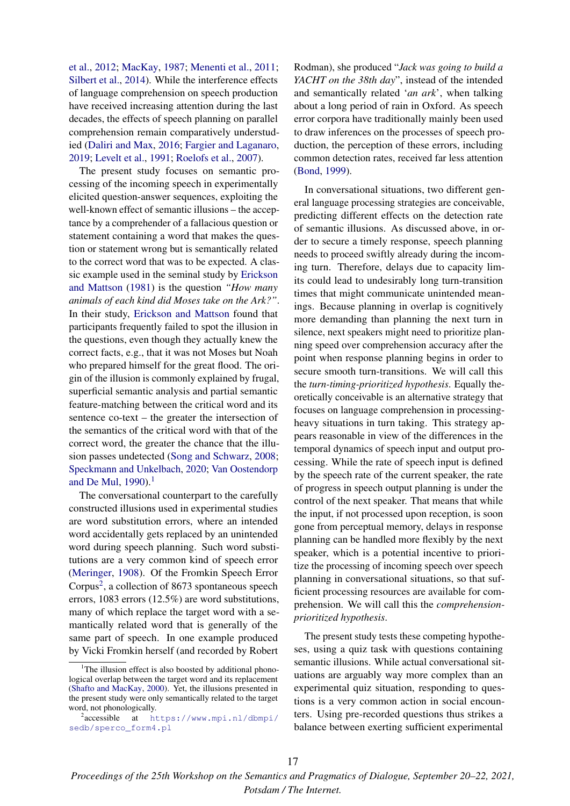et al., 2012; MacKay, 1987; Menenti et al., 2011; Silbert et al., 2014). While the interference effects of language comprehension on speech production have received increasing attention during the last decades, the effects of speech planning on parallel comprehension remain comparatively understudied (Daliri and Max, 2016; Fargier and Laganaro, 2019; Levelt et al., 1991; Roelofs et al., 2007).

The present study focuses on semantic processing of the incoming speech in experimentally elicited question-answer sequences, exploiting the well-known effect of semantic illusions – the acceptance by a comprehender of a fallacious question or statement containing a word that makes the question or statement wrong but is semantically related to the correct word that was to be expected. A classic example used in the seminal study by Erickson and Mattson (1981) is the question *"How many animals of each kind did Moses take on the Ark?"*. In their study, Erickson and Mattson found that participants frequently failed to spot the illusion in the questions, even though they actually knew the correct facts, e.g., that it was not Moses but Noah who prepared himself for the great flood. The origin of the illusion is commonly explained by frugal, superficial semantic analysis and partial semantic feature-matching between the critical word and its sentence co-text – the greater the intersection of the semantics of the critical word with that of the correct word, the greater the chance that the illusion passes undetected (Song and Schwarz, 2008; Speckmann and Unkelbach, 2020; Van Oostendorp and De Mul,  $1990$ ).<sup>1</sup>

The conversational counterpart to the carefully constructed illusions used in experimental studies are word substitution errors, where an intended word accidentally gets replaced by an unintended word during speech planning. Such word substitutions are a very common kind of speech error (Meringer, 1908). Of the Fromkin Speech Error Corpus<sup>2</sup>, a collection of 8673 spontaneous speech errors, 1083 errors (12.5%) are word substitutions, many of which replace the target word with a semantically related word that is generally of the same part of speech. In one example produced by Vicki Fromkin herself (and recorded by Robert

Rodman), she produced "*Jack was going to build a YACHT on the 38th day*", instead of the intended and semantically related '*an ark*', when talking about a long period of rain in Oxford. As speech error corpora have traditionally mainly been used to draw inferences on the processes of speech production, the perception of these errors, including common detection rates, received far less attention (Bond, 1999).

In conversational situations, two different general language processing strategies are conceivable, predicting different effects on the detection rate of semantic illusions. As discussed above, in order to secure a timely response, speech planning needs to proceed swiftly already during the incoming turn. Therefore, delays due to capacity limits could lead to undesirably long turn-transition times that might communicate unintended meanings. Because planning in overlap is cognitively more demanding than planning the next turn in silence, next speakers might need to prioritize planning speed over comprehension accuracy after the point when response planning begins in order to secure smooth turn-transitions. We will call this the *turn-timing-prioritized hypothesis*. Equally theoretically conceivable is an alternative strategy that focuses on language comprehension in processingheavy situations in turn taking. This strategy appears reasonable in view of the differences in the temporal dynamics of speech input and output processing. While the rate of speech input is defined by the speech rate of the current speaker, the rate of progress in speech output planning is under the control of the next speaker. That means that while the input, if not processed upon reception, is soon gone from perceptual memory, delays in response planning can be handled more flexibly by the next speaker, which is a potential incentive to prioritize the processing of incoming speech over speech planning in conversational situations, so that sufficient processing resources are available for comprehension. We will call this the *comprehensionprioritized hypothesis*.

The present study tests these competing hypotheses, using a quiz task with questions containing semantic illusions. While actual conversational situations are arguably way more complex than an experimental quiz situation, responding to questions is a very common action in social encounters. Using pre-recorded questions thus strikes a balance between exerting sufficient experimental

<sup>&</sup>lt;sup>1</sup>The illusion effect is also boosted by additional phonological overlap between the target word and its replacement (Shafto and MacKay, 2000). Yet, the illusions presented in the present study were only semantically related to the target word, not phonologically.

<sup>&</sup>lt;sup>2</sup>accessible at https://www.mpi.nl/dbmpi/ sedb/sperco\_form4.pl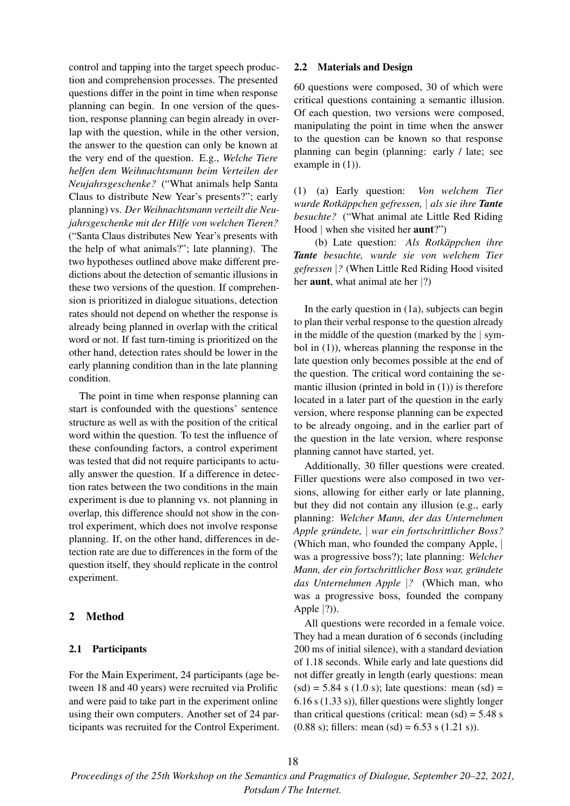control and tapping into the target speech production and comprehension processes. The presented questions differ in the point in time when response planning can begin. In one version of the question, response planning can begin already in overlap with the question, while in the other version, the answer to the question can only be known at the very end of the question. E.g., *Welche Tiere helfen dem Weihnachtsmann beim Verteilen der Neujahrsgeschenke?* ("What animals help Santa Claus to distribute New Year's presents?"; early planning) vs. *Der Weihnachtsmann verteilt die Neujahrsgeschenke mit der Hilfe von welchen Tieren?* ("Santa Claus distributes New Year's presents with the help of what animals?"; late planning). The two hypotheses outlined above make different predictions about the detection of semantic illusions in these two versions of the question. If comprehension is prioritized in dialogue situations, detection rates should not depend on whether the response is already being planned in overlap with the critical word or not. If fast turn-timing is prioritized on the other hand, detection rates should be lower in the early planning condition than in the late planning condition.

The point in time when response planning can start is confounded with the questions' sentence structure as well as with the position of the critical word within the question. To test the influence of these confounding factors, a control experiment was tested that did not require participants to actually answer the question. If a difference in detection rates between the two conditions in the main experiment is due to planning vs. not planning in overlap, this difference should not show in the control experiment, which does not involve response planning. If, on the other hand, differences in detection rate are due to differences in the form of the question itself, they should replicate in the control experiment.

### 2 Method

#### 2.1 Participants

For the Main Experiment, 24 participants (age between 18 and 40 years) were recruited via Prolific and were paid to take part in the experiment online using their own computers. Another set of 24 participants was recruited for the Control Experiment.

### 2.2 Materials and Design

60 questions were composed, 30 of which were critical questions containing a semantic illusion. Of each question, two versions were composed, manipulating the point in time when the answer to the question can be known so that response planning can begin (planning: early / late; see example in  $(1)$ ).

(1) (a) Early question: *Von welchem Tier wurde Rotkappchen gefressen, ¨* | *als sie ihre Tante besuchte?* ("What animal ate Little Red Riding Hood | when she visited her aunt?")

(b) Late question: *Als Rotkäppchen ihre Tante besuchte, wurde sie von welchem Tier gefressen* |*?* (When Little Red Riding Hood visited her **aunt**, what animal ate her  $|?$ 

In the early question in (1a), subjects can begin to plan their verbal response to the question already in the middle of the question (marked by the | symbol in (1)), whereas planning the response in the late question only becomes possible at the end of the question. The critical word containing the semantic illusion (printed in bold in  $(1)$ ) is therefore located in a later part of the question in the early version, where response planning can be expected to be already ongoing, and in the earlier part of the question in the late version, where response planning cannot have started, yet.

Additionally, 30 filler questions were created. Filler questions were also composed in two versions, allowing for either early or late planning, but they did not contain any illusion (e.g., early planning: *Welcher Mann, der das Unternehmen Apple grundete, ¨* | *war ein fortschrittlicher Boss?* (Which man, who founded the company Apple, | was a progressive boss?); late planning: *Welcher Mann, der ein fortschrittlicher Boss war, grundete ¨ das Unternehmen Apple* |*?* (Which man, who was a progressive boss, founded the company Apple  $|?$ ).

All questions were recorded in a female voice. They had a mean duration of 6 seconds (including 200 ms of initial silence), with a standard deviation of 1.18 seconds. While early and late questions did not differ greatly in length (early questions: mean  $(sd) = 5.84$  s  $(1.0$  s); late questions: mean  $(sd) =$ 6.16 s (1.33 s)), filler questions were slightly longer than critical questions (critical: mean  $(sd) = 5.48$  s (0.88 s); fillers: mean (sd) =  $6.53$  s (1.21 s)).

*Proceedings of the 25th Workshop on the Semantics and Pragmatics of Dialogue, September 20–22, 2021, Potsdam / The Internet.*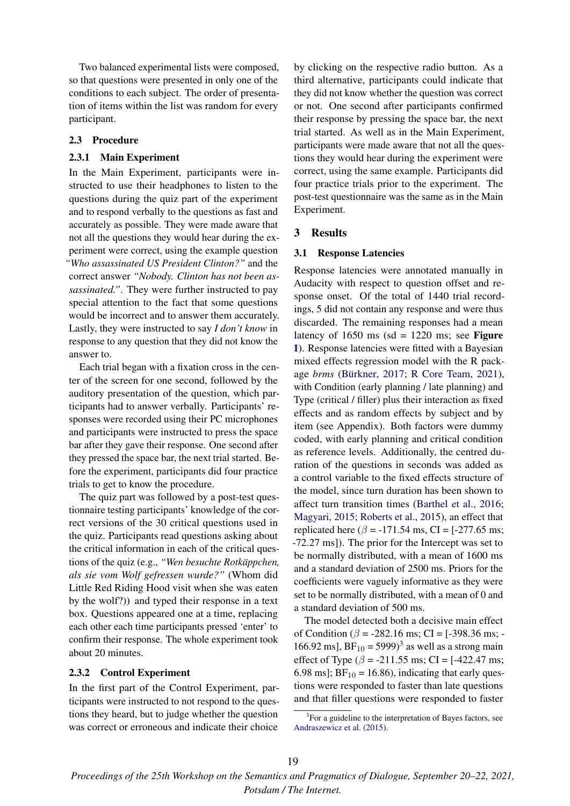Two balanced experimental lists were composed, so that questions were presented in only one of the conditions to each subject. The order of presentation of items within the list was random for every participant.

# 2.3 Procedure

#### 2.3.1 Main Experiment

In the Main Experiment, participants were instructed to use their headphones to listen to the questions during the quiz part of the experiment and to respond verbally to the questions as fast and accurately as possible. They were made aware that not all the questions they would hear during the experiment were correct, using the example question *"Who assassinated US President Clinton?"* and the correct answer *"Nobody. Clinton has not been assassinated."*. They were further instructed to pay special attention to the fact that some questions would be incorrect and to answer them accurately. Lastly, they were instructed to say *I don't know* in response to any question that they did not know the answer to.

Each trial began with a fixation cross in the center of the screen for one second, followed by the auditory presentation of the question, which participants had to answer verbally. Participants' responses were recorded using their PC microphones and participants were instructed to press the space bar after they gave their response. One second after they pressed the space bar, the next trial started. Before the experiment, participants did four practice trials to get to know the procedure.

The quiz part was followed by a post-test questionnaire testing participants' knowledge of the correct versions of the 30 critical questions used in the quiz. Participants read questions asking about the critical information in each of the critical questions of the quiz (e.g., "Wen besuchte Rotkäppchen, *als sie vom Wolf gefressen wurde?"* (Whom did Little Red Riding Hood visit when she was eaten by the wolf?)) and typed their response in a text box. Questions appeared one at a time, replacing each other each time participants pressed 'enter' to confirm their response. The whole experiment took about 20 minutes.

#### 2.3.2 Control Experiment

In the first part of the Control Experiment, participants were instructed to not respond to the questions they heard, but to judge whether the question was correct or erroneous and indicate their choice by clicking on the respective radio button. As a third alternative, participants could indicate that they did not know whether the question was correct or not. One second after participants confirmed their response by pressing the space bar, the next trial started. As well as in the Main Experiment, participants were made aware that not all the questions they would hear during the experiment were correct, using the same example. Participants did four practice trials prior to the experiment. The post-test questionnaire was the same as in the Main Experiment.

### 3 Results

#### 3.1 Response Latencies

Response latencies were annotated manually in Audacity with respect to question offset and response onset. Of the total of 1440 trial recordings, 5 did not contain any response and were thus discarded. The remaining responses had a mean latency of 1650 ms (sd = 1220 ms; see Figure 1). Response latencies were fitted with a Bayesian mixed effects regression model with the R package *brms* (Bürkner, 2017; R Core Team, 2021), with Condition (early planning / late planning) and Type (critical / filler) plus their interaction as fixed effects and as random effects by subject and by item (see Appendix). Both factors were dummy coded, with early planning and critical condition as reference levels. Additionally, the centred duration of the questions in seconds was added as a control variable to the fixed effects structure of the model, since turn duration has been shown to affect turn transition times (Barthel et al., 2016; Magyari, 2015; Roberts et al., 2015), an effect that replicated here ( $\beta$  = -171.54 ms, CI = [-277.65 ms; -72.27 ms]). The prior for the Intercept was set to be normally distributed, with a mean of 1600 ms and a standard deviation of 2500 ms. Priors for the coefficients were vaguely informative as they were set to be normally distributed, with a mean of 0 and a standard deviation of 500 ms.

The model detected both a decisive main effect of Condition ( $\beta$  = -282.16 ms; CI = [-398.36 ms; -166.92 ms],  $BF_{10} = 5999$ <sup>3</sup> as well as a strong main effect of Type ( $\beta$  = -211.55 ms; CI = [-422.47 ms; 6.98 ms];  $BF_{10} = 16.86$ ), indicating that early questions were responded to faster than late questions and that filler questions were responded to faster

<sup>&</sup>lt;sup>3</sup>For a guideline to the interpretation of Bayes factors, see Andraszewicz et al. (2015).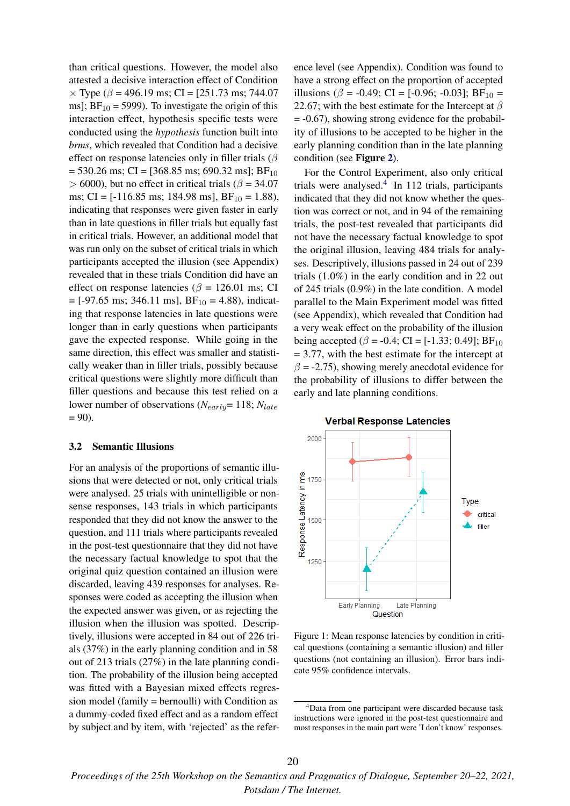than critical questions. However, the model also attested a decisive interaction effect of Condition  $\times$  Type ( $\beta$  = 496.19 ms; CI = [251.73 ms; 744.07 ms];  $BF_{10} = 5999$ ). To investigate the origin of this interaction effect, hypothesis specific tests were conducted using the *hypothesis* function built into *brms*, which revealed that Condition had a decisive effect on response latencies only in filler trials ( $\beta$  $= 530.26$  ms; CI = [368.85 ms; 690.32 ms]; BF<sub>10</sub>  $> 6000$ , but no effect in critical trials ( $\beta = 34.07$ ms; CI =  $[-116.85 \text{ ms}; 184.98 \text{ ms}]$ , BF<sub>10</sub> = 1.88), indicating that responses were given faster in early than in late questions in filler trials but equally fast in critical trials. However, an additional model that was run only on the subset of critical trials in which participants accepted the illusion (see Appendix) revealed that in these trials Condition did have an effect on response latencies ( $\beta$  = 126.01 ms; CI  $=[-97.65 \text{ ms}; 346.11 \text{ ms}], BF_{10} = 4.88$ , indicating that response latencies in late questions were longer than in early questions when participants gave the expected response. While going in the same direction, this effect was smaller and statistically weaker than in filler trials, possibly because critical questions were slightly more difficult than filler questions and because this test relied on a lower number of observations ( $N_{early}$ = 118;  $N_{late}$ )  $= 90$ ).

#### 3.2 Semantic Illusions

For an analysis of the proportions of semantic illusions that were detected or not, only critical trials were analysed. 25 trials with unintelligible or nonsense responses, 143 trials in which participants responded that they did not know the answer to the question, and 111 trials where participants revealed in the post-test questionnaire that they did not have the necessary factual knowledge to spot that the original quiz question contained an illusion were discarded, leaving 439 responses for analyses. Responses were coded as accepting the illusion when the expected answer was given, or as rejecting the illusion when the illusion was spotted. Descriptively, illusions were accepted in 84 out of 226 trials (37%) in the early planning condition and in 58 out of 213 trials (27%) in the late planning condition. The probability of the illusion being accepted was fitted with a Bayesian mixed effects regression model (family = bernoulli) with Condition as a dummy-coded fixed effect and as a random effect by subject and by item, with 'rejected' as the reference level (see Appendix). Condition was found to have a strong effect on the proportion of accepted illusions ( $\beta$  = -0.49; CI = [-0.96; -0.03]; BF<sub>10</sub> = 22.67; with the best estimate for the Intercept at  $\beta$ = -0.67), showing strong evidence for the probability of illusions to be accepted to be higher in the early planning condition than in the late planning condition (see Figure 2).

For the Control Experiment, also only critical trials were analysed.<sup>4</sup> In 112 trials, participants indicated that they did not know whether the question was correct or not, and in 94 of the remaining trials, the post-test revealed that participants did not have the necessary factual knowledge to spot the original illusion, leaving 484 trials for analyses. Descriptively, illusions passed in 24 out of 239 trials (1.0%) in the early condition and in 22 out of 245 trials (0.9%) in the late condition. A model parallel to the Main Experiment model was fitted (see Appendix), which revealed that Condition had a very weak effect on the probability of the illusion being accepted ( $\beta$  = -0.4; CI = [-1.33; 0.49]; BF<sub>10</sub>  $= 3.77$ , with the best estimate for the intercept at  $\beta$  = -2.75), showing merely anecdotal evidence for the probability of illusions to differ between the early and late planning conditions.



Figure 1: Mean response latencies by condition in critical questions (containing a semantic illusion) and filler questions (not containing an illusion). Error bars indicate 95% confidence intervals.

<sup>&</sup>lt;sup>4</sup>Data from one participant were discarded because task instructions were ignored in the post-test questionnaire and most responses in the main part were 'I don't know' responses.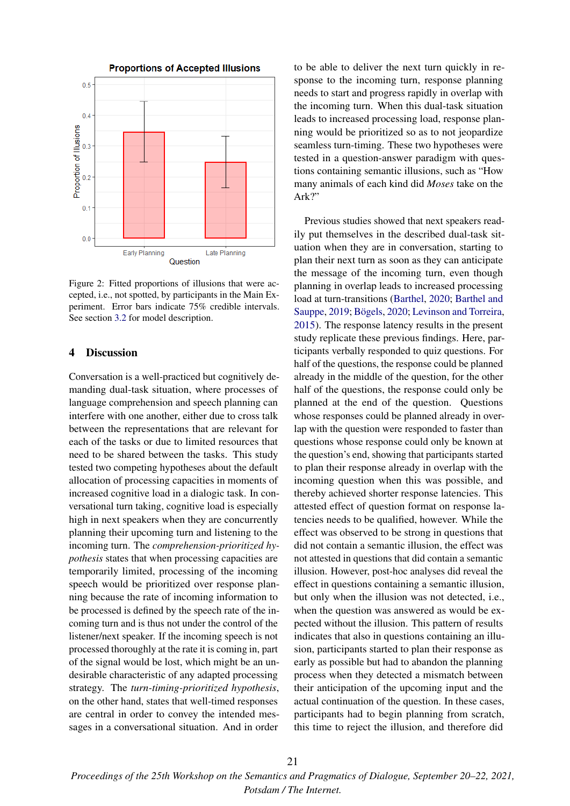

Figure 2: Fitted proportions of illusions that were accepted, i.e., not spotted, by participants in the Main Experiment. Error bars indicate 75% credible intervals. See section 3.2 for model description.

### 4 Discussion

Conversation is a well-practiced but cognitively demanding dual-task situation, where processes of language comprehension and speech planning can interfere with one another, either due to cross talk between the representations that are relevant for each of the tasks or due to limited resources that need to be shared between the tasks. This study tested two competing hypotheses about the default allocation of processing capacities in moments of increased cognitive load in a dialogic task. In conversational turn taking, cognitive load is especially high in next speakers when they are concurrently planning their upcoming turn and listening to the incoming turn. The *comprehension-prioritized hypothesis* states that when processing capacities are temporarily limited, processing of the incoming speech would be prioritized over response planning because the rate of incoming information to be processed is defined by the speech rate of the incoming turn and is thus not under the control of the listener/next speaker. If the incoming speech is not processed thoroughly at the rate it is coming in, part of the signal would be lost, which might be an undesirable characteristic of any adapted processing strategy. The *turn-timing-prioritized hypothesis*, on the other hand, states that well-timed responses are central in order to convey the intended messages in a conversational situation. And in order

to be able to deliver the next turn quickly in response to the incoming turn, response planning needs to start and progress rapidly in overlap with the incoming turn. When this dual-task situation leads to increased processing load, response planning would be prioritized so as to not jeopardize seamless turn-timing. These two hypotheses were tested in a question-answer paradigm with questions containing semantic illusions, such as "How many animals of each kind did *Moses* take on the Ark?"

Previous studies showed that next speakers readily put themselves in the described dual-task situation when they are in conversation, starting to plan their next turn as soon as they can anticipate the message of the incoming turn, even though planning in overlap leads to increased processing load at turn-transitions (Barthel, 2020; Barthel and Sauppe, 2019; Bögels, 2020; Levinson and Torreira, 2015). The response latency results in the present study replicate these previous findings. Here, participants verbally responded to quiz questions. For half of the questions, the response could be planned already in the middle of the question, for the other half of the questions, the response could only be planned at the end of the question. Questions whose responses could be planned already in overlap with the question were responded to faster than questions whose response could only be known at the question's end, showing that participants started to plan their response already in overlap with the incoming question when this was possible, and thereby achieved shorter response latencies. This attested effect of question format on response latencies needs to be qualified, however. While the effect was observed to be strong in questions that did not contain a semantic illusion, the effect was not attested in questions that did contain a semantic illusion. However, post-hoc analyses did reveal the effect in questions containing a semantic illusion, but only when the illusion was not detected, i.e., when the question was answered as would be expected without the illusion. This pattern of results indicates that also in questions containing an illusion, participants started to plan their response as early as possible but had to abandon the planning process when they detected a mismatch between their anticipation of the upcoming input and the actual continuation of the question. In these cases, participants had to begin planning from scratch, this time to reject the illusion, and therefore did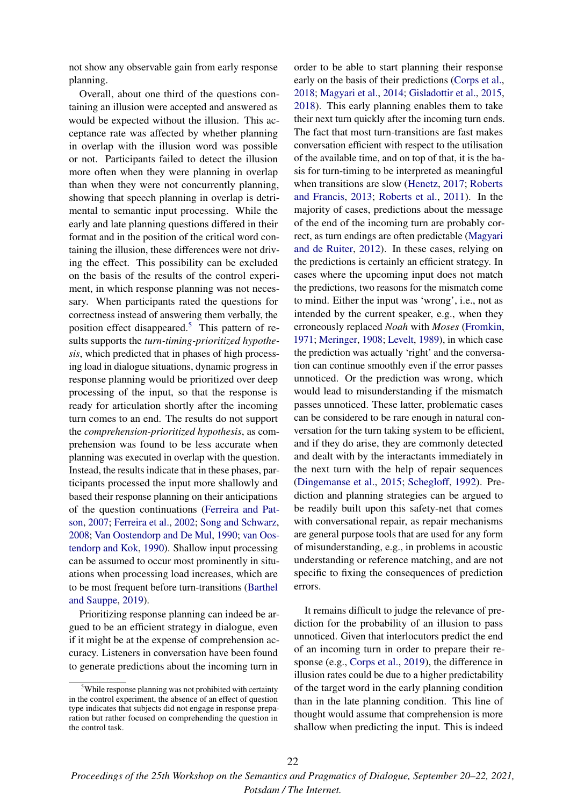not show any observable gain from early response planning.

Overall, about one third of the questions containing an illusion were accepted and answered as would be expected without the illusion. This acceptance rate was affected by whether planning in overlap with the illusion word was possible or not. Participants failed to detect the illusion more often when they were planning in overlap than when they were not concurrently planning, showing that speech planning in overlap is detrimental to semantic input processing. While the early and late planning questions differed in their format and in the position of the critical word containing the illusion, these differences were not driving the effect. This possibility can be excluded on the basis of the results of the control experiment, in which response planning was not necessary. When participants rated the questions for correctness instead of answering them verbally, the position effect disappeared.<sup>5</sup> This pattern of results supports the *turn-timing-prioritized hypothesis*, which predicted that in phases of high processing load in dialogue situations, dynamic progress in response planning would be prioritized over deep processing of the input, so that the response is ready for articulation shortly after the incoming turn comes to an end. The results do not support the *comprehension-prioritized hypothesis*, as comprehension was found to be less accurate when planning was executed in overlap with the question. Instead, the results indicate that in these phases, participants processed the input more shallowly and based their response planning on their anticipations of the question continuations (Ferreira and Patson, 2007; Ferreira et al., 2002; Song and Schwarz, 2008; Van Oostendorp and De Mul, 1990; van Oostendorp and Kok, 1990). Shallow input processing can be assumed to occur most prominently in situations when processing load increases, which are to be most frequent before turn-transitions (Barthel and Sauppe, 2019).

Prioritizing response planning can indeed be argued to be an efficient strategy in dialogue, even if it might be at the expense of comprehension accuracy. Listeners in conversation have been found to generate predictions about the incoming turn in

order to be able to start planning their response early on the basis of their predictions (Corps et al., 2018; Magyari et al., 2014; Gisladottir et al., 2015, 2018). This early planning enables them to take their next turn quickly after the incoming turn ends. The fact that most turn-transitions are fast makes conversation efficient with respect to the utilisation of the available time, and on top of that, it is the basis for turn-timing to be interpreted as meaningful when transitions are slow (Henetz, 2017; Roberts and Francis, 2013; Roberts et al., 2011). In the majority of cases, predictions about the message of the end of the incoming turn are probably correct, as turn endings are often predictable (Magyari and de Ruiter, 2012). In these cases, relying on the predictions is certainly an efficient strategy. In cases where the upcoming input does not match the predictions, two reasons for the mismatch come to mind. Either the input was 'wrong', i.e., not as intended by the current speaker, e.g., when they erroneously replaced *Noah* with *Moses* (Fromkin, 1971; Meringer, 1908; Levelt, 1989), in which case the prediction was actually 'right' and the conversation can continue smoothly even if the error passes unnoticed. Or the prediction was wrong, which would lead to misunderstanding if the mismatch passes unnoticed. These latter, problematic cases can be considered to be rare enough in natural conversation for the turn taking system to be efficient, and if they do arise, they are commonly detected and dealt with by the interactants immediately in the next turn with the help of repair sequences (Dingemanse et al., 2015; Schegloff, 1992). Prediction and planning strategies can be argued to be readily built upon this safety-net that comes with conversational repair, as repair mechanisms are general purpose tools that are used for any form of misunderstanding, e.g., in problems in acoustic understanding or reference matching, and are not specific to fixing the consequences of prediction errors.

It remains difficult to judge the relevance of prediction for the probability of an illusion to pass unnoticed. Given that interlocutors predict the end of an incoming turn in order to prepare their response (e.g., Corps et al., 2019), the difference in illusion rates could be due to a higher predictability of the target word in the early planning condition than in the late planning condition. This line of thought would assume that comprehension is more shallow when predicting the input. This is indeed

<sup>5</sup>While response planning was not prohibited with certainty in the control experiment, the absence of an effect of question type indicates that subjects did not engage in response preparation but rather focused on comprehending the question in the control task.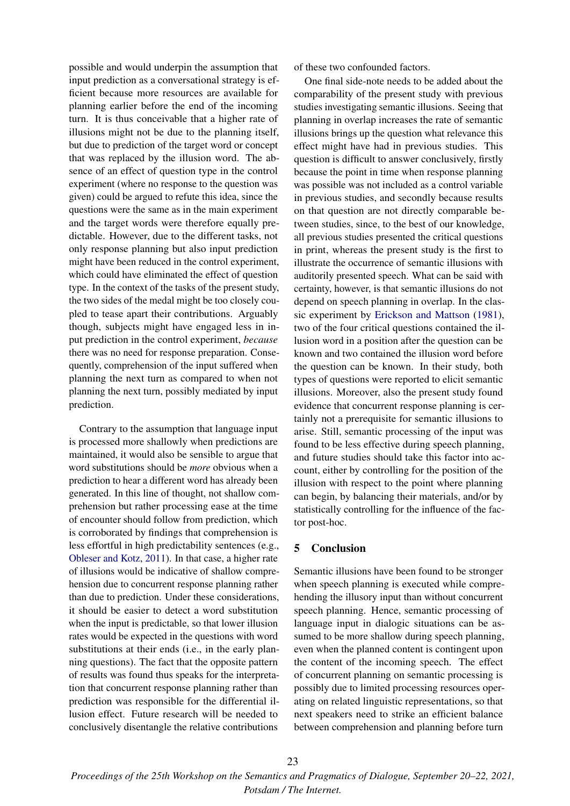possible and would underpin the assumption that input prediction as a conversational strategy is efficient because more resources are available for planning earlier before the end of the incoming turn. It is thus conceivable that a higher rate of illusions might not be due to the planning itself, but due to prediction of the target word or concept that was replaced by the illusion word. The absence of an effect of question type in the control experiment (where no response to the question was given) could be argued to refute this idea, since the questions were the same as in the main experiment and the target words were therefore equally predictable. However, due to the different tasks, not only response planning but also input prediction might have been reduced in the control experiment, which could have eliminated the effect of question type. In the context of the tasks of the present study, the two sides of the medal might be too closely coupled to tease apart their contributions. Arguably though, subjects might have engaged less in input prediction in the control experiment, *because* there was no need for response preparation. Consequently, comprehension of the input suffered when planning the next turn as compared to when not planning the next turn, possibly mediated by input prediction.

Contrary to the assumption that language input is processed more shallowly when predictions are maintained, it would also be sensible to argue that word substitutions should be *more* obvious when a prediction to hear a different word has already been generated. In this line of thought, not shallow comprehension but rather processing ease at the time of encounter should follow from prediction, which is corroborated by findings that comprehension is less effortful in high predictability sentences (e.g., Obleser and Kotz, 2011). In that case, a higher rate of illusions would be indicative of shallow comprehension due to concurrent response planning rather than due to prediction. Under these considerations, it should be easier to detect a word substitution when the input is predictable, so that lower illusion rates would be expected in the questions with word substitutions at their ends (i.e., in the early planning questions). The fact that the opposite pattern of results was found thus speaks for the interpretation that concurrent response planning rather than prediction was responsible for the differential illusion effect. Future research will be needed to conclusively disentangle the relative contributions

of these two confounded factors.

One final side-note needs to be added about the comparability of the present study with previous studies investigating semantic illusions. Seeing that planning in overlap increases the rate of semantic illusions brings up the question what relevance this effect might have had in previous studies. This question is difficult to answer conclusively, firstly because the point in time when response planning was possible was not included as a control variable in previous studies, and secondly because results on that question are not directly comparable between studies, since, to the best of our knowledge, all previous studies presented the critical questions in print, whereas the present study is the first to illustrate the occurrence of semantic illusions with auditorily presented speech. What can be said with certainty, however, is that semantic illusions do not depend on speech planning in overlap. In the classic experiment by Erickson and Mattson (1981), two of the four critical questions contained the illusion word in a position after the question can be known and two contained the illusion word before the question can be known. In their study, both types of questions were reported to elicit semantic illusions. Moreover, also the present study found evidence that concurrent response planning is certainly not a prerequisite for semantic illusions to arise. Still, semantic processing of the input was found to be less effective during speech planning, and future studies should take this factor into account, either by controlling for the position of the illusion with respect to the point where planning can begin, by balancing their materials, and/or by statistically controlling for the influence of the factor post-hoc.

### 5 Conclusion

Semantic illusions have been found to be stronger when speech planning is executed while comprehending the illusory input than without concurrent speech planning. Hence, semantic processing of language input in dialogic situations can be assumed to be more shallow during speech planning, even when the planned content is contingent upon the content of the incoming speech. The effect of concurrent planning on semantic processing is possibly due to limited processing resources operating on related linguistic representations, so that next speakers need to strike an efficient balance between comprehension and planning before turn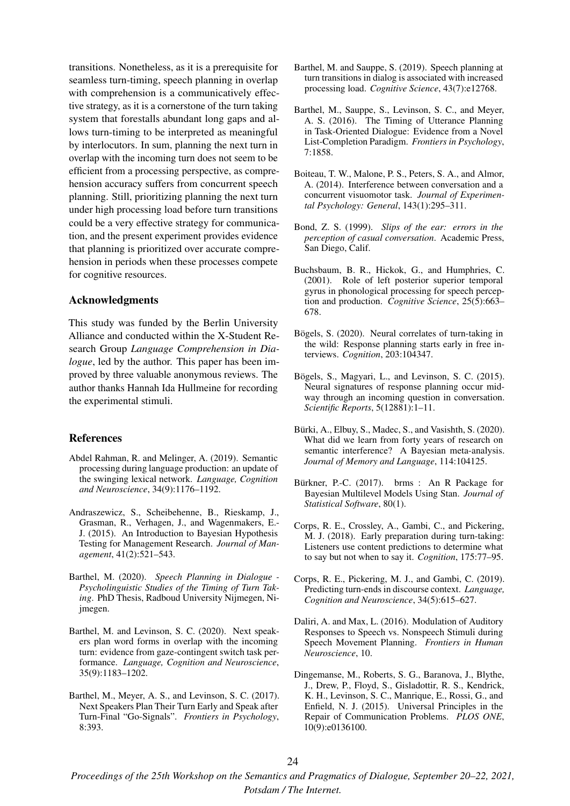transitions. Nonetheless, as it is a prerequisite for seamless turn-timing, speech planning in overlap with comprehension is a communicatively effective strategy, as it is a cornerstone of the turn taking system that forestalls abundant long gaps and allows turn-timing to be interpreted as meaningful by interlocutors. In sum, planning the next turn in overlap with the incoming turn does not seem to be efficient from a processing perspective, as comprehension accuracy suffers from concurrent speech planning. Still, prioritizing planning the next turn under high processing load before turn transitions could be a very effective strategy for communication, and the present experiment provides evidence that planning is prioritized over accurate comprehension in periods when these processes compete for cognitive resources.

### Acknowledgments

This study was funded by the Berlin University Alliance and conducted within the X-Student Research Group *Language Comprehension in Dialogue*, led by the author. This paper has been improved by three valuable anonymous reviews. The author thanks Hannah Ida Hullmeine for recording the experimental stimuli.

#### References

- Abdel Rahman, R. and Melinger, A. (2019). Semantic processing during language production: an update of the swinging lexical network. *Language, Cognition and Neuroscience*, 34(9):1176–1192.
- Andraszewicz, S., Scheibehenne, B., Rieskamp, J., Grasman, R., Verhagen, J., and Wagenmakers, E.- J. (2015). An Introduction to Bayesian Hypothesis Testing for Management Research. *Journal of Management*, 41(2):521–543.
- Barthel, M. (2020). *Speech Planning in Dialogue - Psycholinguistic Studies of the Timing of Turn Taking*. PhD Thesis, Radboud University Nijmegen, Nijmegen.
- Barthel, M. and Levinson, S. C. (2020). Next speakers plan word forms in overlap with the incoming turn: evidence from gaze-contingent switch task performance. *Language, Cognition and Neuroscience*, 35(9):1183–1202.
- Barthel, M., Meyer, A. S., and Levinson, S. C. (2017). Next Speakers Plan Their Turn Early and Speak after Turn-Final "Go-Signals". *Frontiers in Psychology*, 8:393.
- Barthel, M. and Sauppe, S. (2019). Speech planning at turn transitions in dialog is associated with increased processing load. *Cognitive Science*, 43(7):e12768.
- Barthel, M., Sauppe, S., Levinson, S. C., and Meyer, A. S. (2016). The Timing of Utterance Planning in Task-Oriented Dialogue: Evidence from a Novel List-Completion Paradigm. *Frontiers in Psychology*, 7:1858.
- Boiteau, T. W., Malone, P. S., Peters, S. A., and Almor, A. (2014). Interference between conversation and a concurrent visuomotor task. *Journal of Experimental Psychology: General*, 143(1):295–311.
- Bond, Z. S. (1999). *Slips of the ear: errors in the perception of casual conversation*. Academic Press, San Diego, Calif.
- Buchsbaum, B. R., Hickok, G., and Humphries, C. (2001). Role of left posterior superior temporal gyrus in phonological processing for speech perception and production. *Cognitive Science*, 25(5):663– 678.
- Bögels, S. (2020). Neural correlates of turn-taking in the wild: Response planning starts early in free interviews. *Cognition*, 203:104347.
- Bögels, S., Magyari, L., and Levinson, S. C. (2015). Neural signatures of response planning occur midway through an incoming question in conversation. *Scientific Reports*, 5(12881):1–11.
- Bürki, A., Elbuy, S., Madec, S., and Vasishth, S. (2020). What did we learn from forty years of research on semantic interference? A Bayesian meta-analysis. *Journal of Memory and Language*, 114:104125.
- Bürkner, P.-C. (2017). brms : An R Package for Bayesian Multilevel Models Using Stan. *Journal of Statistical Software*, 80(1).
- Corps, R. E., Crossley, A., Gambi, C., and Pickering, M. J. (2018). Early preparation during turn-taking: Listeners use content predictions to determine what to say but not when to say it. *Cognition*, 175:77–95.
- Corps, R. E., Pickering, M. J., and Gambi, C. (2019). Predicting turn-ends in discourse context. *Language, Cognition and Neuroscience*, 34(5):615–627.
- Daliri, A. and Max, L. (2016). Modulation of Auditory Responses to Speech vs. Nonspeech Stimuli during Speech Movement Planning. *Frontiers in Human Neuroscience*, 10.
- Dingemanse, M., Roberts, S. G., Baranova, J., Blythe, J., Drew, P., Floyd, S., Gisladottir, R. S., Kendrick, K. H., Levinson, S. C., Manrique, E., Rossi, G., and Enfield, N. J. (2015). Universal Principles in the Repair of Communication Problems. *PLOS ONE*, 10(9):e0136100.

*Proceedings of the 25th Workshop on the Semantics and Pragmatics of Dialogue, September 20–22, 2021, Potsdam / The Internet.*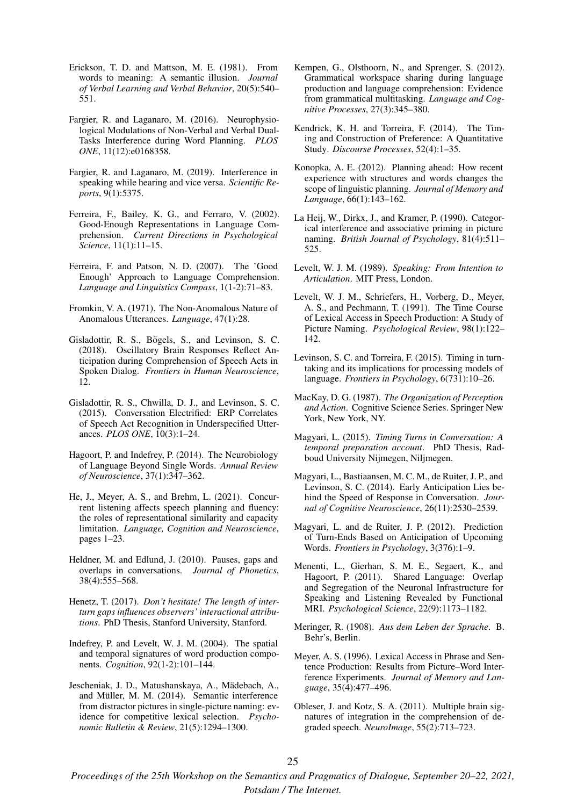- Erickson, T. D. and Mattson, M. E. (1981). From words to meaning: A semantic illusion. *Journal of Verbal Learning and Verbal Behavior*, 20(5):540– 551.
- Fargier, R. and Laganaro, M. (2016). Neurophysiological Modulations of Non-Verbal and Verbal Dual-Tasks Interference during Word Planning. *PLOS ONE*, 11(12):e0168358.
- Fargier, R. and Laganaro, M. (2019). Interference in speaking while hearing and vice versa. *Scientific Reports*, 9(1):5375.
- Ferreira, F., Bailey, K. G., and Ferraro, V. (2002). Good-Enough Representations in Language Comprehension. *Current Directions in Psychological Science*, 11(1):11–15.
- Ferreira, F. and Patson, N. D. (2007). The 'Good Enough' Approach to Language Comprehension. *Language and Linguistics Compass*, 1(1-2):71–83.
- Fromkin, V. A. (1971). The Non-Anomalous Nature of Anomalous Utterances. *Language*, 47(1):28.
- Gisladottir, R. S., Bögels, S., and Levinson, S. C. (2018). Oscillatory Brain Responses Reflect Anticipation during Comprehension of Speech Acts in Spoken Dialog. *Frontiers in Human Neuroscience*, 12.
- Gisladottir, R. S., Chwilla, D. J., and Levinson, S. C. (2015). Conversation Electrified: ERP Correlates of Speech Act Recognition in Underspecified Utterances. *PLOS ONE*, 10(3):1–24.
- Hagoort, P. and Indefrey, P. (2014). The Neurobiology of Language Beyond Single Words. *Annual Review of Neuroscience*, 37(1):347–362.
- He, J., Meyer, A. S., and Brehm, L. (2021). Concurrent listening affects speech planning and fluency: the roles of representational similarity and capacity limitation. *Language, Cognition and Neuroscience*, pages 1–23.
- Heldner, M. and Edlund, J. (2010). Pauses, gaps and overlaps in conversations. *Journal of Phonetics*, 38(4):555–568.
- Henetz, T. (2017). *Don't hesitate! The length of interturn gaps influences observers' interactional attributions*. PhD Thesis, Stanford University, Stanford.
- Indefrey, P. and Levelt, W. J. M. (2004). The spatial and temporal signatures of word production components. *Cognition*, 92(1-2):101–144.
- Jescheniak, J. D., Matushanskaya, A., Mädebach, A., and Müller, M. M. (2014). Semantic interference from distractor pictures in single-picture naming: evidence for competitive lexical selection. *Psychonomic Bulletin & Review*, 21(5):1294–1300.
- Kempen, G., Olsthoorn, N., and Sprenger, S. (2012). Grammatical workspace sharing during language production and language comprehension: Evidence from grammatical multitasking. *Language and Cognitive Processes*, 27(3):345–380.
- Kendrick, K. H. and Torreira, F. (2014). The Timing and Construction of Preference: A Quantitative Study. *Discourse Processes*, 52(4):1–35.
- Konopka, A. E. (2012). Planning ahead: How recent experience with structures and words changes the scope of linguistic planning. *Journal of Memory and Language*, 66(1):143–162.
- La Heij, W., Dirkx, J., and Kramer, P. (1990). Categorical interference and associative priming in picture naming. *British Journal of Psychology*, 81(4):511– 525.
- Levelt, W. J. M. (1989). *Speaking: From Intention to Articulation*. MIT Press, London.
- Levelt, W. J. M., Schriefers, H., Vorberg, D., Meyer, A. S., and Pechmann, T. (1991). The Time Course of Lexical Access in Speech Production: A Study of Picture Naming. *Psychological Review*, 98(1):122– 142.
- Levinson, S. C. and Torreira, F. (2015). Timing in turntaking and its implications for processing models of language. *Frontiers in Psychology*, 6(731):10–26.
- MacKay, D. G. (1987). *The Organization of Perception and Action*. Cognitive Science Series. Springer New York, New York, NY.
- Magyari, L. (2015). *Timing Turns in Conversation: A temporal preparation account*. PhD Thesis, Radboud University Nijmegen, Niljmegen.
- Magyari, L., Bastiaansen, M. C. M., de Ruiter, J. P., and Levinson, S. C. (2014). Early Anticipation Lies behind the Speed of Response in Conversation. *Journal of Cognitive Neuroscience*, 26(11):2530–2539.
- Magyari, L. and de Ruiter, J. P. (2012). Prediction of Turn-Ends Based on Anticipation of Upcoming Words. *Frontiers in Psychology*, 3(376):1–9.
- Menenti, L., Gierhan, S. M. E., Segaert, K., and Hagoort, P. (2011). Shared Language: Overlap and Segregation of the Neuronal Infrastructure for Speaking and Listening Revealed by Functional MRI. *Psychological Science*, 22(9):1173–1182.
- Meringer, R. (1908). *Aus dem Leben der Sprache*. B. Behr's, Berlin.
- Meyer, A. S. (1996). Lexical Access in Phrase and Sentence Production: Results from Picture–Word Interference Experiments. *Journal of Memory and Language*, 35(4):477–496.
- Obleser, J. and Kotz, S. A. (2011). Multiple brain signatures of integration in the comprehension of degraded speech. *NeuroImage*, 55(2):713–723.

*Proceedings of the 25th Workshop on the Semantics and Pragmatics of Dialogue, September 20–22, 2021, Potsdam / The Internet.*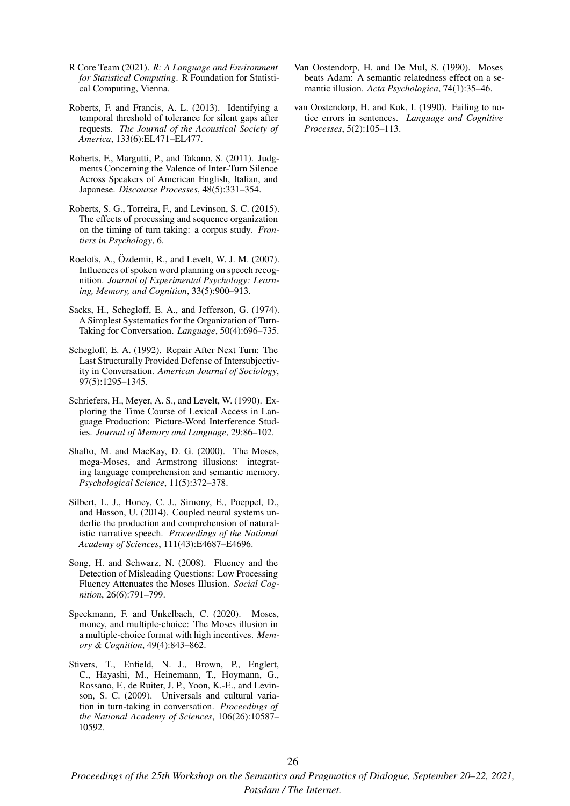- R Core Team (2021). *R: A Language and Environment for Statistical Computing*. R Foundation for Statistical Computing, Vienna.
- Roberts, F. and Francis, A. L. (2013). Identifying a temporal threshold of tolerance for silent gaps after requests. *The Journal of the Acoustical Society of America*, 133(6):EL471–EL477.
- Roberts, F., Margutti, P., and Takano, S. (2011). Judgments Concerning the Valence of Inter-Turn Silence Across Speakers of American English, Italian, and Japanese. *Discourse Processes*, 48(5):331–354.
- Roberts, S. G., Torreira, F., and Levinson, S. C. (2015). The effects of processing and sequence organization on the timing of turn taking: a corpus study. *Frontiers in Psychology*, 6.
- Roelofs, A., Özdemir, R., and Levelt, W. J. M. (2007). Influences of spoken word planning on speech recognition. *Journal of Experimental Psychology: Learning, Memory, and Cognition*, 33(5):900–913.
- Sacks, H., Schegloff, E. A., and Jefferson, G. (1974). A Simplest Systematics for the Organization of Turn-Taking for Conversation. *Language*, 50(4):696–735.
- Schegloff, E. A. (1992). Repair After Next Turn: The Last Structurally Provided Defense of Intersubjectivity in Conversation. *American Journal of Sociology*, 97(5):1295–1345.
- Schriefers, H., Meyer, A. S., and Levelt, W. (1990). Exploring the Time Course of Lexical Access in Language Production: Picture-Word Interference Studies. *Journal of Memory and Language*, 29:86–102.
- Shafto, M. and MacKay, D. G. (2000). The Moses, mega-Moses, and Armstrong illusions: integrating language comprehension and semantic memory. *Psychological Science*, 11(5):372–378.
- Silbert, L. J., Honey, C. J., Simony, E., Poeppel, D., and Hasson, U. (2014). Coupled neural systems underlie the production and comprehension of naturalistic narrative speech. *Proceedings of the National Academy of Sciences*, 111(43):E4687–E4696.
- Song, H. and Schwarz, N. (2008). Fluency and the Detection of Misleading Questions: Low Processing Fluency Attenuates the Moses Illusion. *Social Cognition*, 26(6):791–799.
- Speckmann, F. and Unkelbach, C. (2020). Moses, money, and multiple-choice: The Moses illusion in a multiple-choice format with high incentives. *Memory & Cognition*, 49(4):843–862.
- Stivers, T., Enfield, N. J., Brown, P., Englert, C., Hayashi, M., Heinemann, T., Hoymann, G., Rossano, F., de Ruiter, J. P., Yoon, K.-E., and Levinson, S. C. (2009). Universals and cultural variation in turn-taking in conversation. *Proceedings of the National Academy of Sciences*, 106(26):10587– 10592.
- Van Oostendorp, H. and De Mul, S. (1990). Moses beats Adam: A semantic relatedness effect on a semantic illusion. *Acta Psychologica*, 74(1):35–46.
- van Oostendorp, H. and Kok, I. (1990). Failing to notice errors in sentences. *Language and Cognitive Processes*, 5(2):105–113.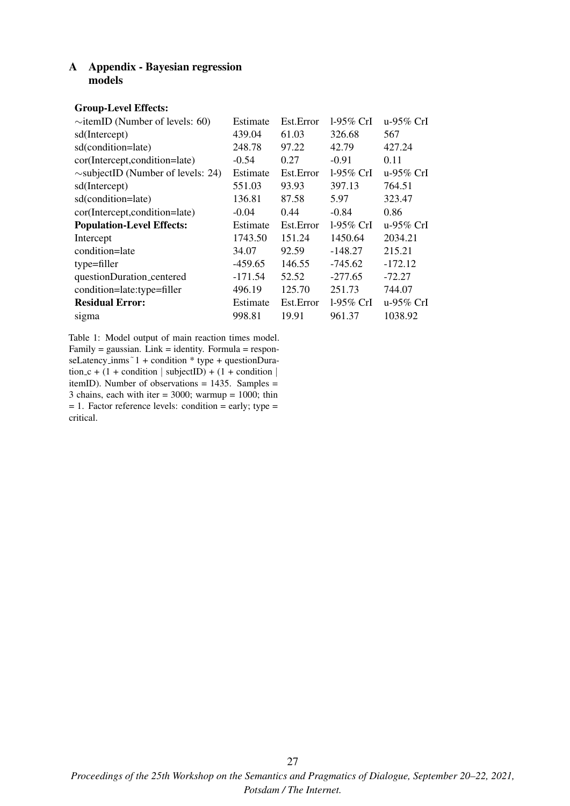# A Appendix - Bayesian regression models

### Group-Level Effects:

| $\sim$ itemID (Number of levels: 60)    | Estimate  | Est.Error  | $1-95\%$ CrI | u-95% $CrI$ |
|-----------------------------------------|-----------|------------|--------------|-------------|
| sd(Intercept)                           | 439.04    | 61.03      | 326.68       | 567         |
| sd(condition=late)                      | 248.78    | 97.22      | 42.79        | 427.24      |
| cor(Intercept,condition=late)           | $-0.54$   | 0.27       | $-0.91$      | 0.11        |
| $\sim$ subjectID (Number of levels: 24) | Estimate  | Est.Error  | 1-95% CrI    | u-95% CrI   |
| sd(Intercept)                           | 551.03    | 93.93      | 397.13       | 764.51      |
| sd(condition=late)                      | 136.81    | 87.58      | 5.97         | 323.47      |
| cor(Intercept,condition=late)           | $-0.04$   | 0.44       | $-0.84$      | 0.86        |
|                                         |           |            |              |             |
| <b>Population-Level Effects:</b>        | Estimate  | Est.Error  | $1-95\%$ CrI | u-95% $CrI$ |
| Intercept                               | 1743.50   | 151.24     | 1450.64      | 2034.21     |
| condition=late                          | 34.07     | 92.59      | $-148.27$    | 215.21      |
| type=filler                             | $-459.65$ | 146.55     | $-745.62$    | $-172.12$   |
| questionDuration_centered               | $-171.54$ | 52.52      | $-277.65$    | $-72.27$    |
| condition=late:type=filler              | 496.19    | 125.70     | 251.73       | 744.07      |
| <b>Residual Error:</b>                  | Estimate  | Est. Error | 1-95\% CrI   | u-95% $CrI$ |

Table 1: Model output of main reaction times model.  $Family = gaussian$ . Link = identity. Formula = responseLatency\_inms<sup>~1</sup> + condition \* type + questionDuration c + (1 + condition | subjectID) + (1 + condition | itemID). Number of observations  $= 1435$ . Samples  $=$ 3 chains, each with iter = 3000; warmup =  $1000$ ; thin  $= 1$ . Factor reference levels: condition  $=$  early; type  $=$ critical.

27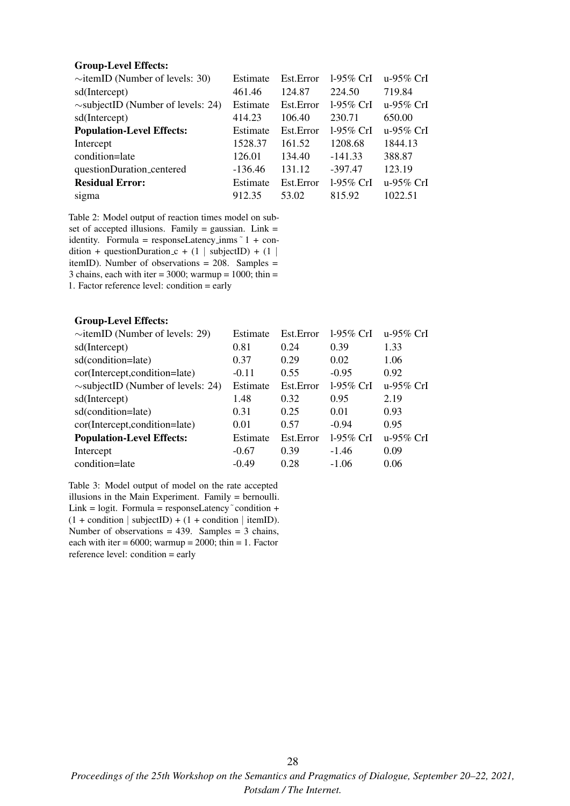### Group-Level Effects:

| $\sim$ itemID (Number of levels: 30)    | Estimate  | Est.Error | $1-95\%$ CrI | u-95% CrI |
|-----------------------------------------|-----------|-----------|--------------|-----------|
| sd(Intercept)                           | 461.46    | 124.87    | 224.50       | 719.84    |
| $\sim$ subjectID (Number of levels: 24) | Estimate  | Est.Error | 1-95% CrI    | u-95% CrI |
| sd(Intercept)                           | 414.23    | 106.40    | 230.71       | 650.00    |
| <b>Population-Level Effects:</b>        | Estimate  | Est.Error | $1-95\%$ CrI | u-95% CrI |
| Intercept                               | 1528.37   | 161.52    | 1208.68      | 1844.13   |
| condition=late                          | 126.01    | 134.40    | $-141.33$    | 388.87    |
| questionDuration_centered               | $-136.46$ | 131.12    | $-397.47$    | 123.19    |
| <b>Residual Error:</b>                  | Estimate  | Est.Error | 1-95% CrI    | u-95% CrI |
| sigma                                   | 912.35    | 53.02     | 815.92       | 1022.51   |

Table 2: Model output of reaction times model on subset of accepted illusions. Family = gaussian. Link = identity. Formula = responseLatency\_inms  $\tilde{ }$  1 + condition + questionDuration  $c + (1 | \text{subjectID}) + (1 |$ itemID). Number of observations = 208. Samples = 3 chains, each with iter = 3000; warmup =  $1000$ ; thin = 1. Factor reference level: condition = early

### Group-Level Effects:

| $\sim$ itemID (Number of levels: 29)    | Estimate | Est.Error | $1-95\%$ CrI | u-95% CrI |
|-----------------------------------------|----------|-----------|--------------|-----------|
| sd(Intercept)                           | 0.81     | 0.24      | 0.39         | 1.33      |
| sd(condition=late)                      | 0.37     | 0.29      | 0.02         | 1.06      |
| cor(Intercept,condition=late)           | $-0.11$  | 0.55      | $-0.95$      | 0.92      |
| $\sim$ subjectID (Number of levels: 24) | Estimate | Est.Error | $1-95\%$ CrI | u-95% CrI |
| sd(Intercept)                           | 1.48     | 0.32      | 0.95         | 2.19      |
| sd(condition=late)                      | 0.31     | 0.25      | 0.01         | 0.93      |
| cor(Intercept,condition=late)           | 0.01     | 0.57      | $-0.94$      | 0.95      |
| <b>Population-Level Effects:</b>        | Estimate | Est.Error | 1-95% CrI    | u-95% CrI |
| Intercept                               | $-0.67$  | 0.39      | $-1.46$      | 0.09      |
| condition=late                          | $-0.49$  | 0.28      | $-1.06$      | 0.06      |
|                                         |          |           |              |           |

Table 3: Model output of model on the rate accepted illusions in the Main Experiment. Family = bernoulli. Link = logit. Formula = responseLatency  $\textdegree$  condition +  $(1 +$  condition | subjectID) +  $(1 +$  condition | itemID). Number of observations =  $439$ . Samples = 3 chains, each with iter =  $6000$ ; warmup =  $2000$ ; thin = 1. Factor reference level: condition = early